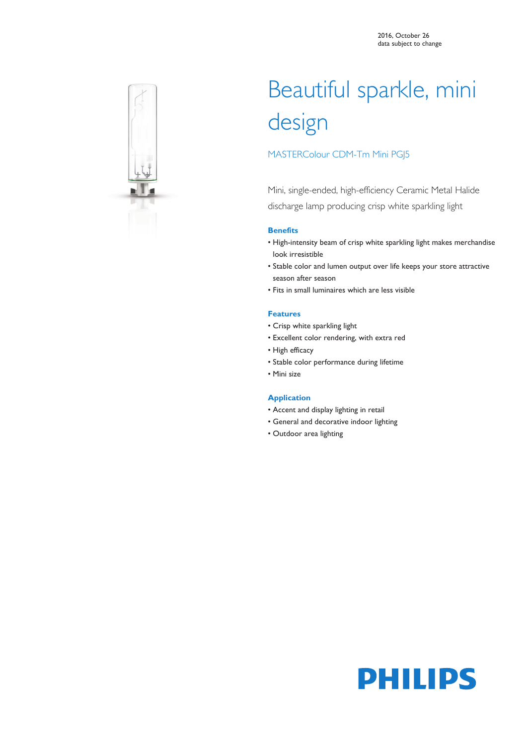

# Beautiful sparkle, mini design

# MASTERColour CDM-Tm Mini PGJ5

Mini, single-ended, high-efficiency Ceramic Metal Halide discharge lamp producing crisp white sparkling light

### **Benefits**

- High-intensity beam of crisp white sparkling light makes merchandise look irresistible
- Stable color and lumen output over life keeps your store attractive season after season
- Fits in small luminaires which are less visible

### **Features**

- Crisp white sparkling light
- Excellent color rendering, with extra red
- High efficacy
- Stable color performance during lifetime
- Mini size

### **Application**

- Accent and display lighting in retail
- General and decorative indoor lighting
- Outdoor area lighting

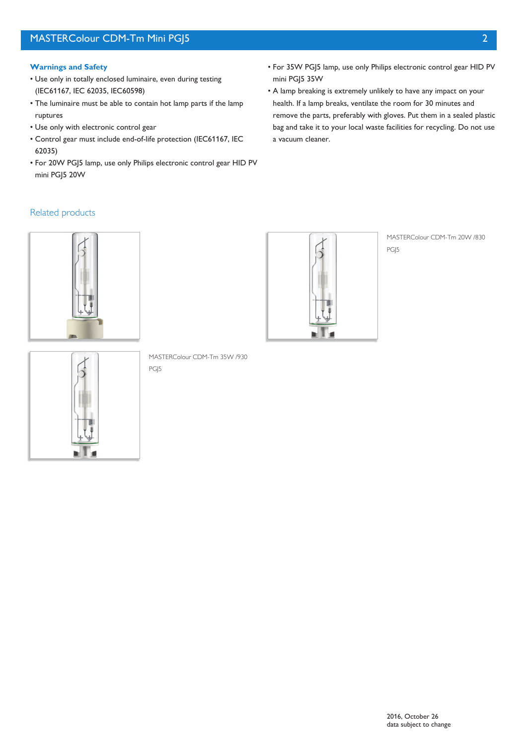- Use only in totally enclosed luminaire, even during testing (IEC61167, IEC 62035, IEC60598)
- The luminaire must be able to contain hot lamp parts if the lamp ruptures
- Use only with electronic control gear
- Control gear must include end-of-life protection (IEC61167, IEC 62035)
- For 20W PGJ5 lamp, use only Philips electronic control gear HID PV mini PGJ5 20W
- For 35W PGJ5 lamp, use only Philips electronic control gear HID PV mini PGJ5 35W
- A lamp breaking is extremely unlikely to have any impact on your health. If a lamp breaks, ventilate the room for 30 minutes and remove the parts, preferably with gloves. Put them in a sealed plastic bag and take it to your local waste facilities for recycling. Do not use a vacuum cleaner.

# Related products





MASTERColour CDM-Tm 20W /830 PGJ5



MASTERColour CDM-Tm 35W /930 PG<sub>I5</sub>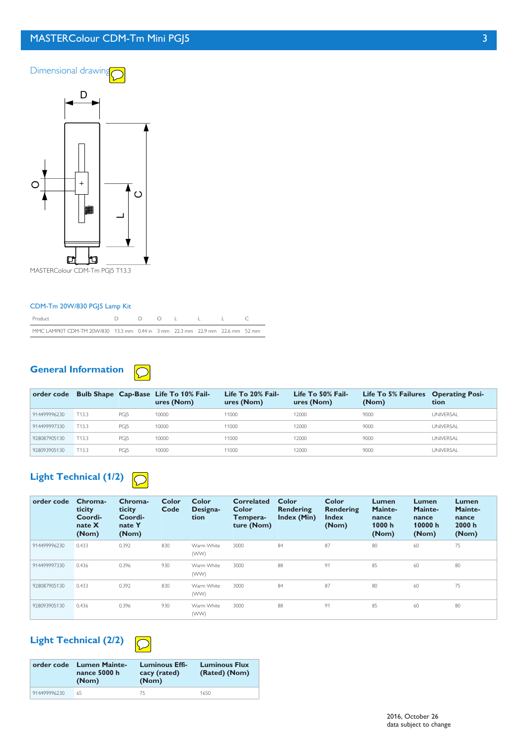# **MASTERColour CDM-Tm Mini PGJ5 3**



MASTERColour CDM-Tm PGJ5 T13.3

### CDM-Tm 20W/830 PGJ5 Lamp Kit

| Product                                                                       |  |  |  |  |
|-------------------------------------------------------------------------------|--|--|--|--|
| MMC LAMPKIT CDM-TM 20W/830 13.3 mm 0.44 in 3 mm 22.3 mm 22.9 mm 22.6 mm 52 mm |  |  |  |  |

#### **General Information**  $\bigcirc$

|              |       |      | order code Bulb Shape Cap-Base Life To 10% Fail-<br>ures (Nom) | Life To 20% Fail-<br>ures (Nom) | Life To 50% Fail-<br>ures (Nom) | Life To 5% Failures Operating Posi-<br>(Nom) | tion             |
|--------------|-------|------|----------------------------------------------------------------|---------------------------------|---------------------------------|----------------------------------------------|------------------|
| 914499996230 | T13.3 | PGI5 | 10000                                                          | 11000                           | 12000                           | 9000                                         | <b>UNIVERSAL</b> |
| 914499997330 | T13.3 | PGI5 | 10000                                                          | 11000                           | 12000                           | 9000                                         | <b>UNIVERSAL</b> |
| 928087905130 | T13.3 | PGI5 | 10000                                                          | 11000                           | 12000                           | 9000                                         | <b>UNIVERSAL</b> |
| 928093905130 | T13.3 | PGI5 | 10000                                                          | 11000                           | 12000                           | 9000                                         | <b>UNIVERSAL</b> |

# **Light Technical (1/2)**

| order code   | Chroma-<br>ticity<br>Coordi-<br>nate $X$<br>(Nom) | Chroma-<br>ticity<br>Coordi-<br>nate Y<br>(Nom) | Color<br>Code | <b>Color</b><br>Designa-<br>tion | <b>Correlated</b><br>Color<br>Tempera-<br>ture (Nom) | Color<br>Rendering<br>Index (Min) | Color<br>Rendering<br><b>Index</b><br>(Nom) | Lumen<br>Mainte-<br>nance<br>1000 h<br>(Nom) | Lumen<br>Mainte-<br>nance<br>10000 h<br>(Nom) | <b>Lumen</b><br>Mainte-<br>nance<br>2000 h<br>(Nom) |
|--------------|---------------------------------------------------|-------------------------------------------------|---------------|----------------------------------|------------------------------------------------------|-----------------------------------|---------------------------------------------|----------------------------------------------|-----------------------------------------------|-----------------------------------------------------|
| 914499996230 | 0.433                                             | 0.392                                           | 830           | Warm White<br>(WW)               | 3000                                                 | 84                                | 87                                          | 80                                           | 60                                            | 75                                                  |
| 914499997330 | 0.436                                             | 0.396                                           | 930           | Warm White<br>(WW)               | 3000                                                 | 88                                | 91                                          | 85                                           | 60                                            | 80                                                  |
| 928087905130 | 0.433                                             | 0.392                                           | 830           | Warm White<br>(WW)               | 3000                                                 | 84                                | 87                                          | 80                                           | 60                                            | 75                                                  |
| 928093905130 | 0.436                                             | 0.396                                           | 930           | Warm White<br>(WW)               | 3000                                                 | 88                                | 91                                          | 85                                           | 60                                            | 80                                                  |

# **Light Technical (2/2)**

| <b>CONTRACTOR</b> |  |
|-------------------|--|

|              | order code Lumen Mainte-<br>nance 5000 h<br>(Nom) | Luminous Effi-<br>cacy (rated)<br>(Nom) | <b>Luminous Flux</b><br>(Rated) (Nom) |
|--------------|---------------------------------------------------|-----------------------------------------|---------------------------------------|
| 914499996230 | 65                                                | 75                                      | 1650                                  |